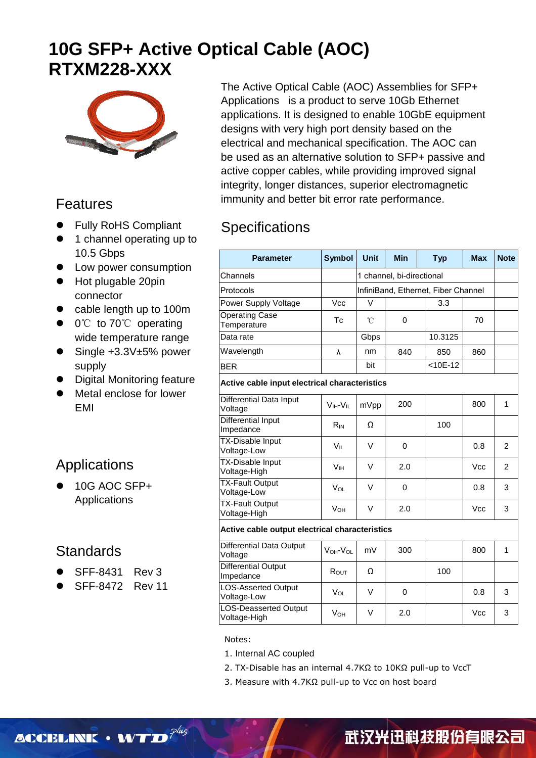# **10G SFP+ Active Optical Cable (AOC) RTXM228-XXX**



#### Features

- **•** Fully RoHS Compliant
- 1 channel operating up to 10.5 Gbps
- **•** Low power consumption
- Hot plugable 20pin connector
- cable length up to 100m
- 0℃ to 70℃ operating wide temperature range
- Single +3.3V±5% power supply
- Digital Monitoring feature
- Metal enclose for lower EMI

# Applications

 10G AOC SFP+ Applications

#### **Standards**

- SFF-8431 Rev 3
- SFF-8472 Rev 11

The Active Optical Cable (AOC) Assemblies for SFP+ Applications is a product to serve 10Gb Ethernet applications. It is designed to enable 10GbE equipment designs with very high port density based on the electrical and mechanical specification. The AOC can be used as an alternative solution to SFP+ passive and active copper cables, while providing improved signal integrity, longer distances, superior electromagnetic immunity and better bit error rate performance.

### **Specifications**

| <b>Parameter</b>                               | <b>Symbol</b>          | <b>Unit</b>  | <b>Min</b>                | <b>Typ</b>                          | <b>Max</b> | <b>Note</b>    |  |  |  |
|------------------------------------------------|------------------------|--------------|---------------------------|-------------------------------------|------------|----------------|--|--|--|
| Channels                                       |                        |              | 1 channel, bi-directional |                                     |            |                |  |  |  |
| Protocols                                      |                        |              |                           | InfiniBand, Ethernet, Fiber Channel |            |                |  |  |  |
| Power Supply Voltage                           | Vcc                    | V            |                           | 3.3                                 |            |                |  |  |  |
| <b>Operating Case</b><br>Temperature           | Tc                     | $^{\circ}$ C | $\Omega$                  |                                     | 70         |                |  |  |  |
| Data rate                                      |                        | Gbps         |                           | 10.3125                             |            |                |  |  |  |
| Wavelength                                     | λ                      | nm           | 840                       | 850                                 | 860        |                |  |  |  |
| <b>BER</b>                                     |                        | bit          |                           | $< 10E - 12$                        |            |                |  |  |  |
| Active cable input electrical characteristics  |                        |              |                           |                                     |            |                |  |  |  |
| Differential Data Input<br>Voltage             | $VIH-VII$              | mVpp         | 200                       |                                     | 800        | 1              |  |  |  |
| <b>Differential Input</b><br>Impedance         | $R_{IN}$               | Ω            |                           | 100                                 |            |                |  |  |  |
| <b>TX-Disable Input</b><br>Voltage-Low         | Vır                    | V            | $\Omega$                  |                                     | 0.8        | $\overline{2}$ |  |  |  |
| TX-Disable Input<br>Voltage-High               | <b>V</b> <sup>IH</sup> | $\vee$       | 2.0                       |                                     | <b>Vcc</b> | $\overline{2}$ |  |  |  |
| <b>TX-Fault Output</b><br>Voltage-Low          | V <sub>OL</sub>        | V            | 0                         |                                     | 0.8        | 3              |  |  |  |
| <b>TX-Fault Output</b><br>Voltage-High         | $V_{OH}$               | V            | 2.0                       |                                     | <b>Vcc</b> | 3              |  |  |  |
| Active cable output electrical characteristics |                        |              |                           |                                     |            |                |  |  |  |
| <b>Differential Data Output</b><br>Voltage     | VOH-VOL                | mV           | 300                       |                                     | 800        | 1              |  |  |  |
| Differential Output<br>Impedance               | ROUT                   | Ω            |                           | 100                                 |            |                |  |  |  |
| <b>LOS-Asserted Output</b><br>Voltage-Low      | VOL                    | V            | 0                         |                                     | 0.8        | 3              |  |  |  |
| LOS-Deasserted Output<br>Voltage-High          | <b>V</b> он            | V            | 2.0                       |                                     | <b>Vcc</b> | 3              |  |  |  |

Notes:

- 1. Internal AC coupled
- 2. TX-Disable has an internal 4.7KΩ to 10KΩ pull-up to VccT
- 3. Measure with 4.7KΩ pull-up to Vcc on host board